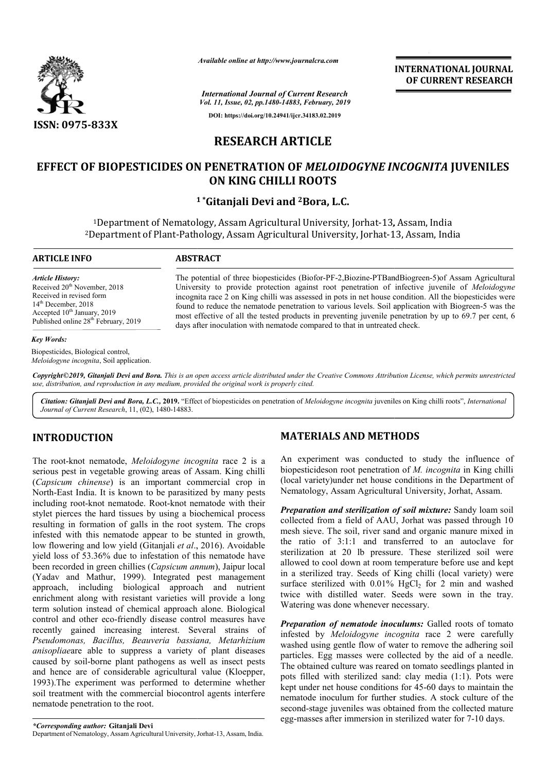

*Available online at http://www.journalcra.com*

*International Journal of Current Research Vol. 11, Issue, 02, pp.1480-14883, February, 2019* **DOI: https://doi.org/10.24941/ijcr.34183.02.2019**

**INTERNATIONAL JOURNAL OF CURRENT RESEARCH**

# **RESEARCH ARTICLE**

# **EFFECT OF BIOPESTICIDES ON PENETRATION OF**  *MELOIDOGYNE INCOGNITA* **JUVENILES ON KING CHILLI ROOTS**

### **1 \* \*Gitanjali Devi and 2Bora, L.C.**

<sup>1</sup>Department of Nematology, Assam Agricultural University, Jorhat-13, Assam, India <sup>1</sup>Department of Nematology, Assam Agricultural University, Jorhat-13, Assam, India<br><sup>2</sup>Department of Plant-Pathology, Assam Agricultural University, Jorhat-13, Assam, India

#### **ARTICLE INFO ABSTRACT** The potential of three biopesticides (Biofor-PF-2,Biozine-PTBandBiogreen-5) of Assam Agricultural University to provide protection against root penetration of infective juvenile of *Meloidogyne* incognita race 2 on King chilli was assessed in pots in net house condition. All the biopesticides were incognita race 2 on King chilli was assessed in pots in net house condition. All the biopesticides were found to reduce the nematode penetration to various levels. Soil application with Biogreen-5 was the most effective of all the tested products in preventing juvenile penetration by up to 69.7 per cent, 6 days after inoculation with nematode compared to that in untreated check. days after inoculation with nematode compared to that in untreated check. *Article History:* Received  $20<sup>th</sup>$  November, 2018 Received in revised form 14<sup>th</sup> December, 2018 Accepted  $10^{th}$  January, 2019 Published online 28<sup>th</sup> February, 2019

#### *Key Words:*

Biopesticides, Biological control, *Meloidogyne incognita*, Soil application.

Copyright©2019, Gitanjali Devi and Bora. This is an open access article distributed under the Creative Commons Attribution License, which permits unrestrictea *use, distribution, and reproduction in any medium, provided the original work is properly cited.*

Citation: Gitanjali Devi and Bora, L.C., 2019. "Effect of biopesticides on penetration of Meloidogyne incognita juveniles on King chilli roots", *International Journal of Current Research*, 11, (02), 1480-14883.

### **INTRODUCTION**

The root-knot nematode, *Meloidogyne incognita* race 2 is a serious pest in vegetable growing areas of Assam. King chilli (*Capsicum chinense*) is an important commercial crop in North-East India. It is known to be parasitized by many pests including root-knot nematode. Root-knot nematode with their stylet pierces the hard tissues by using a biochemical process resulting in formation of galls in the root system. The crops infested with this nematode appear to be stunted in growth, low flowering and low yield (Gitanjali *et al*., 2016). Avoidable yield loss of 53.36% due to infestation of this nematode have been recorded in green chillies (*Capsicum annum* (Yadav and Mathur, 1999). Integrated pest management approach, including biological approach and nutrient enrichment along with resistant varieties will provide a long term solution instead of chemical approach alone. Biological control and other eco-friendly disease control measures have recently gained increasing interest. Several strains of *Pseudomonas, Bacillus, Beauveria bassiana, Metarhizium anisopliae*are able to suppress a variety of plant diseases caused by soil-borne plant pathogens as well as insect pests and hence are of considerable agricultural value (Kloepper, 1993).The experiment was performed to determine whether soil treatment with the commercial biocontrol agents interfere nematode penetration to the root. East India. It is known to be parasitized by many pests<br>ing root-knot nematode. Root-knot nematode with their<br>pierces the hard tissues by using a biochemical process<br>ng in formation of galls in the root system. The crops<br> friendly disease control measures have<br>reasing interest. Several strains or<br>*ss, Beauveria bassiana, Metarhizium*<br>suppress a variety of plant diseases<br>blant pathogens as well as insect pests<br>siderable agricultural value (K

## **MATERIALS AND METHODS METHODS**

An experiment was conducted to study the influence of An experiment was conducted to study the influence of biopesticideson root penetration of *M. incognita* in King chilli (local variety)under net house conditions in the Department of (local variety)under net house conditions in the Department<br>Nematology, Assam Agricultural University, Jorhat, Assam.

**Preparation and sterilization of soil mixture:** Sandy loam soil collected from a field of AAU, Jorhat was passed through 10 mesh sieve. The soil, river sand and organic manure mixed in the ratio of 3:1:1 and transferred to an autoclave for sterilization at 20 lb pressure. These sterilized soil were allowed to cool down at room temperature before use and kept in a sterilized tray. Seeds of King chilli (local variety) were surface sterilized with 0.01% HgCl<sub>2</sub> for 2 min and washed twice with distilled water. Seeds were sown in the tray. Watering was done whenever necessary. *Preparation of nematode inoculums:* Galled roots of tomato *Preparation of nematode inoculums:* Galled roots of tomato sol, river sand and organic manure mixed in<br>o of 3:1:1 and transferred to an autoclave for<br>ion at 20 lb pressure. These sterilized soil were<br>to cool down at room temperature before use and kept<br>ilized tray. Seeds of King c

infested by *Meloidogyne incognita Meloidogyne incognita* race 2 were carefully washed using gentle flow of water to remove the adhering soil particles. Egg masses were collected by the aid of a needle. The obtained culture was reared on tomato seedlings planted in washed using gentle flow of water to remove the adhering soil particles. Egg masses were collected by the aid of a needle. The obtained culture was reared on tomato seedlings planted in pots filled with sterilized sand: cl kept under net house conditions for 45-60 days to maintain the nematode inoculum for further studies. A stock culture of the second-stage juveniles was obtained from the collected mature egg-masses after immersion in sterilized water for 7 atode inoculum for further studies. A stock culture of t<br>nd-stage juveniles was obtained from the collected matu<br>masses after immersion in sterilized water for 7-10 days.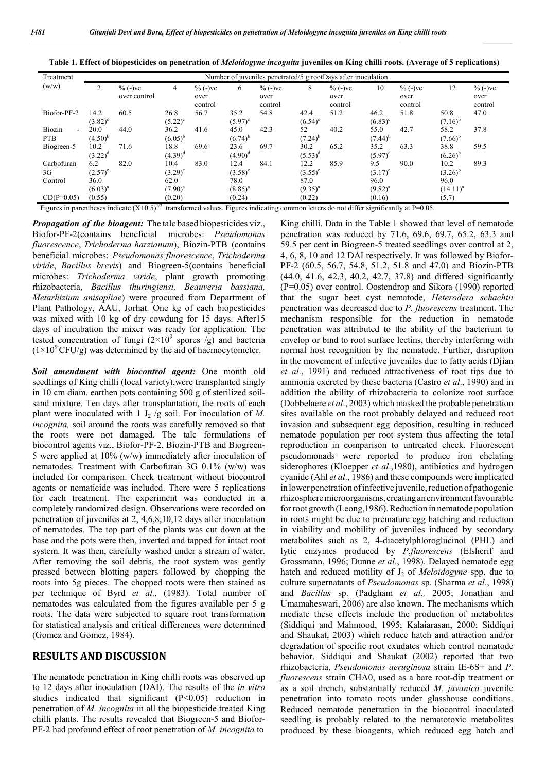| Table 1. Effect of biopesticides on penetration of Meloidogyne incognita juveniles on King chilli roots. (Average of 5 replications) |  |  |
|--------------------------------------------------------------------------------------------------------------------------------------|--|--|
|                                                                                                                                      |  |  |

| Treatment                                                                                                                                        | Number of juveniles penetrated/5 g rootDays after inoculation |                            |                            |                               |                            |                               |                            |                               |                           |                               |                              |                              |
|--------------------------------------------------------------------------------------------------------------------------------------------------|---------------------------------------------------------------|----------------------------|----------------------------|-------------------------------|----------------------------|-------------------------------|----------------------------|-------------------------------|---------------------------|-------------------------------|------------------------------|------------------------------|
| (w/w)                                                                                                                                            | $\overline{2}$                                                | $\%$ (-)ve<br>over control | 4                          | $\%$ (-)ve<br>over<br>control | 6                          | $\%$ (-)ve<br>over<br>control | 8                          | $\%$ (-)ve<br>over<br>control | 10                        | $\%$ (-)ve<br>over<br>control | 12                           | $% (-)ve$<br>over<br>control |
| Biofor-PF-2                                                                                                                                      | 14.2<br>$(3.82)^c$                                            | 60.5                       | 26.8<br>$(5.22)^{\circ}$   | 56.7                          | 35.2<br>$(5.97)^c$         | 54.8                          | 42.4<br>$(6.54)^c$         | 51.2                          | 46.2<br>$(6.83)^c$        | 51.8                          | 50.8<br>$(7.16)^{b}$         | 47.0                         |
| Biozin<br>÷.<br><b>PTB</b>                                                                                                                       | 20.0<br>$(4.50)^{b}$                                          | 44.0                       | 36.2<br>$(6.05)^{b}$       | 41.6                          | 45.0<br>$(6.74)^{b}$       | 42.3                          | 52<br>$(7.24)^{b}$         | 40.2                          | 55.0<br>$(7.44)^{b}$      | 42.7                          | 58.2<br>$(7.66)^{b}$         | 37.8                         |
| Biogreen-5                                                                                                                                       | 10.2<br>$(3.22)^d$                                            | 71.6                       | 18.8<br>$(4.39)^d$         | 69.6                          | 23.6<br>$(4.90)^d$         | 69.7                          | 30.2<br>$(5.53)^d$         | 65.2                          | 35.2<br>$(5.97)^d$        | 63.3                          | 38.8<br>$(6.26)^{b}$         | 59.5                         |
| Carbofuran<br>3G<br>Control                                                                                                                      | 6.2<br>$(2.57)^e$<br>36.0                                     | 82.0                       | 10.4<br>$(3.29)^e$<br>62.0 | 83.0                          | 12.4<br>$(3.58)^e$<br>78.0 | 84.1                          | 12.2<br>$(3.55)^e$<br>87.0 | 85.9                          | 9.5<br>$(3.17)^e$<br>96.0 | 90.0                          | 10.2<br>$(3.26)^{b}$<br>96.0 | 89.3                         |
| $CD(P=0.05)$                                                                                                                                     | $(6.03)^{a}$<br>(0.55)                                        |                            | $(7.90)^{a}$<br>(0.20)     |                               | $(8.85)^{a}$<br>(0.24)     |                               | $(9.35)^{a}$<br>(0.22)     |                               | $(9.82)^{a}$<br>(0.16)    |                               | $(14.11)^{a}$<br>(5.7)       |                              |
| Figures in parentheses indicate $(X+0.5)^{1}$<br>transformed values. Figures indicating common letters do not differ significantly at $P=0.05$ . |                                                               |                            |                            |                               |                            |                               |                            |                               |                           |                               |                              |                              |

*Propagation of the bioagent:* The talc based biopesticides viz., Biofor-PF-2(contains beneficial microbes: *Pseudomonas fluorescence*, *Trichoderma harzianum*), Biozin-PTB (contains beneficial microbes: *Pseudomonas fluorescence*, *Trichoderma viride*, *Bacillus brevis*) and Biogreen-5(contains beneficial microbes: *Trichoderma viride*, plant growth promoting rhizobacteria, *Bacillus thuringiensi, Beauveria bassiana, Metarhizium anisopliae*) were procured from Department of Plant Pathology, AAU, Jorhat. One kg of each biopesticides was mixed with 10 kg of dry cowdung for 15 days. After15 days of incubation the mixer was ready for application. The tested concentration of fungi  $(2\times10^9$  spores /g) and bacteria  $(1\times10^{9}$  CFU/g) was determined by the aid of haemocytometer.

*Soil amendment with biocontrol agent:* One month old seedlings of King chilli (local variety),were transplanted singly in 10 cm diam. earthen pots containing 500 g of sterilized soilsand mixture. Ten days after transplantation, the roots of each plant were inoculated with  $1 J_2/g$  soil. For inoculation of M. *incognita,* soil around the roots was carefully removed so that the roots were not damaged. The talc formulations of biocontrol agents viz., Biofor-PF-2, Biozin-PTB and Biogreen-5 were applied at 10% (w/w) immediately after inoculation of nematodes. Treatment with Carbofuran 3G 0.1% (w/w) was included for comparison. Check treatment without biocontrol agents or nematicide was included. There were 5 replications for each treatment. The experiment was conducted in a completely randomized design. Observations were recorded on penetration of juveniles at 2, 4,6,8,10,12 days after inoculation of nematodes. The top part of the plants was cut down at the base and the pots were then, inverted and tapped for intact root system. It was then, carefully washed under a stream of water. After removing the soil debris, the root system was gently pressed between blotting papers followed by chopping the roots into 5g pieces. The chopped roots were then stained as per technique of Byrd *et al.,* (1983). Total number of nematodes was calculated from the figures available per 5 g roots. The data were subjected to square root transformation for statistical analysis and critical differences were determined (Gomez and Gomez, 1984).

### **RESULTS AND DISCUSSION**

The nematode penetration in King chilli roots was observed up to 12 days after inoculation (DAI). The results of the *in vitro*  studies indicated that significant (P<0.05) reduction in penetration of *M. incognita* in all the biopesticide treated King chilli plants. The results revealed that Biogreen-5 and Biofor-PF-2 had profound effect of root penetration of *M. incognita* to

King chilli. Data in the Table 1 showed that level of nematode penetration was reduced by 71.6, 69.6, 69.7, 65.2, 63.3 and 59.5 per cent in Biogreen-5 treated seedlings over control at 2, 4, 6, 8, 10 and 12 DAI respectively. It was followed by Biofor-PF-2 (60.5, 56.7, 54.8, 51.2, 51.8 and 47.0) and Biozin-PTB (44.0, 41.6, 42.3, 40.2, 42.7, 37.8) and differed significantly (P=0.05) over control. Oostendrop and Sikora (1990) reported that the sugar beet cyst nematode, *Heterodera schachtii*  penetration was decreased due to *P. fluorescens* treatment. The mechanism responsible for the reduction in nematode penetration was attributed to the ability of the bacterium to envelop or bind to root surface lectins, thereby interfering with normal host recognition by the nematode. Further, disruption in the movement of infective juveniles due to fatty acids (Djian *et al*., 1991) and reduced attractiveness of root tips due to ammonia excreted by these bacteria (Castro *et al*., 1990) and in addition the ability of rhizobacteria to colonize root surface (Dobbelaere *et al*., 2003) which masked the probable penetration sites available on the root probably delayed and reduced root invasion and subsequent egg deposition, resulting in reduced nematode population per root system thus affecting the total reproduction in comparison to untreated check. Fluorescent pseudomonads were reported to produce iron chelating siderophores (Kloepper *et al*.,1980), antibiotics and hydrogen cyanide (Ahl *et al*., 1986) and these compounds were implicated in lower penetration of infective juvenile, reduction of pathogenic rhizosphere microorganisms, creating an environment favourable for root growth (Leong, 1986). Reduction in nematode population in roots might be due to premature egg hatching and reduction in viability and mobility of juveniles induced by secondary metabolites such as 2, 4-diacetylphloroglucinol (PHL) and lytic enzymes produced by *P.fluorescens* (Elsherif and Grossmann, 1996; Dunne *et al*., 1998). Delayed nematode egg hatch and reduced motility of J<sub>2</sub> of *Meloidogyne* spp. due to culture supernatants of *Pseudomonas* sp. (Sharma *et al*., 1998) and *Bacillus* sp. (Padgham *et al.,* 2005; Jonathan and Umamaheswari, 2006) are also known. The mechanisms which mediate these effects include the production of metabolites (Siddiqui and Mahmood, 1995; Kalaiarasan, 2000; Siddiqui and Shaukat, 2003) which reduce hatch and attraction and/or degradation of specific root exudates which control nematode behavior. Siddiqui and Shaukat (2002) reported that two rhizobacteria, *Pseudomonas aeruginosa* strain IE-6S+ and *P*. *fluorescens* strain CHA0, used as a bare root-dip treatment or as a soil drench, substantially reduced *M. javanica* juvenile penetration into tomato roots under glasshouse conditions. Reduced nematode penetration in the biocontrol inoculated seedling is probably related to the nematotoxic metabolites produced by these bioagents, which reduced egg hatch and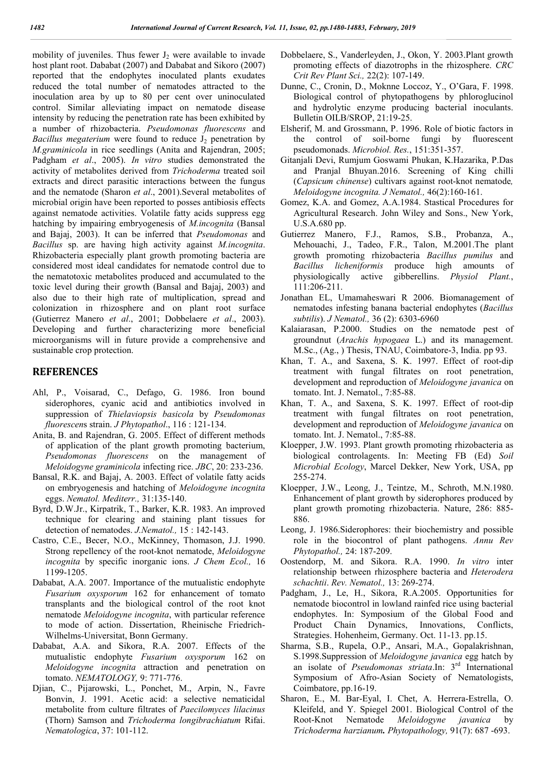mobility of juveniles. Thus fewer  $J_2$  were available to invade host plant root. Dababat (2007) and Dababat and Sikoro (2007) reported that the endophytes inoculated plants exudates reduced the total number of nematodes attracted to the inoculation area by up to 80 per cent over uninoculated control. Similar alleviating impact on nematode disease intensity by reducing the penetration rate has been exhibited by a number of rhizobacteria. *Pseudomonas fluorescens* and *Bacillus megaterium* were found to reduce J<sub>2</sub> penetration by *M.graminicola* in rice seedlings (Anita and Rajendran, 2005; Padgham *et al*., 2005). *In vitro* studies demonstrated the activity of metabolites derived from *Trichoderma* treated soil extracts and direct parasitic interactions between the fungus and the nematode (Sharon *et al*., 2001).Several metabolites of microbial origin have been reported to posses antibiosis effects against nematode activities. Volatile fatty acids suppress egg hatching by impairing embryogenesis of *M.incognita* (Bansal and Bajaj, 2003). It can be inferred that *Pseudomonas* and *Bacillus* sp. are having high activity against *M.incognita*. Rhizobacteria especially plant growth promoting bacteria are considered most ideal candidates for nematode control due to the nematotoxic metabolites produced and accumulated to the toxic level during their growth (Bansal and Bajaj, 2003) and also due to their high rate of multiplication, spread and colonization in rhizosphere and on plant root surface (Gutierrez Manero *et al*., 2001; Dobbelaere *et al*., 2003). Developing and further characterizing more beneficial microorganisms will in future provide a comprehensive and sustainable crop protection.

### **REFERENCES**

- Ahl, P., Voisarad, C., Defago, G. 1986. Iron bound siderophores, cyanic acid and antibiotics involved in suppression of *Thielaviopsis basicola* by *Pseudomonas fluorescen*s strain. *J Phytopathol*., 116 : 121-134.
- Anita, B. and Rajendran, G. 2005. Effect of different methods of application of the plant growth promoting bacterium, *Pseudomonas fluorescens* on the management of *Meloidogyne graminicola* infecting rice. *JBC*, 20: 233-236.
- Bansal, R.K. and Bajaj, A. 2003. Effect of volatile fatty acids on embryogenesis and hatching of *Meloidogyne incognita* eggs. *Nematol. Mediterr.,* 31:135-140.
- Byrd, D.W.Jr., Kirpatrik, T., Barker, K.R. 1983. An improved technique for clearing and staining plant tissues for detection of nematodes. *J.Nematol.,* 15 : 142-143.
- Castro, C.E., Becer, N.O., McKinney, Thomason, J.J. 1990. Strong repellency of the root-knot nematode, *Meloidogyne incognita* by specific inorganic ions. *J Chem Ecol.,* 16 1199-1205.
- Dababat, A.A. 2007. Importance of the mutualistic endophyte *Fusarium oxysporum* 162 for enhancement of tomato transplants and the biological control of the root knot nematode *Meloidogyne incognita*, with particular reference to mode of action. Dissertation, Rheinische Friedrich-Wilhelms-Universitat, Bonn Germany.
- Dababat, A.A. and Sikora, R.A. 2007. Effects of the mutualistic endophyte *Fusarium oxysporum* 162 on *Meloidogyne incognita* attraction and penetration on tomato. *NEMATOLOGY,* 9: 771-776.
- Djian, C., Pijarowski, L., Ponchet, M., Arpin, N., Favre Bonvin, J. 1991. Acetic acid: a selective nematicidal metabolite from culture filtrates of *Paecilomyces lilacinus* (Thorn) Samson and *Trichoderma longibrachiatum* Rifai. *Nematologica*, 37: 101-112.
- Dobbelaere, S., Vanderleyden, J., Okon, Y. 2003.Plant growth promoting effects of diazotrophs in the rhizosphere. *CRC Crit Rev Plant Sci.,* 22(2): 107-149.
- Dunne, C., Cronin, D., Moknne Loccoz, Y., O'Gara, F. 1998. Biological control of phytopathogens by phloroglucinol and hydrolytic enzyme producing bacterial inoculants. Bulletin OILB/SROP, 21:19-25.
- Elsherif, M. and Grossmann, P. 1996. Role of biotic factors in the control of soil-borne fungi by fluorescent pseudomonads. *Microbiol. Res.*, 151:351-357.
- Gitanjali Devi, Rumjum Goswami Phukan, K.Hazarika, P.Das and Pranjal Bhuyan.2016. Screening of King chilli (*Capsicum chinense*) cultivars against root-knot nematode*, Meloidogyne incognita. J Nematol.,* 46(2):160-161.
- Gomez, K.A. and Gomez, A.A.1984. Stastical Procedures for Agricultural Research. John Wiley and Sons., New York, U.S.A.680 pp.
- Gutierrez Manero, F.J., Ramos, S.B., Probanza, A., Mehouachi, J., Tadeo, F.R., Talon, M.2001.The plant growth promoting rhizobacteria *Bacillus pumilus* and *Bacillus licheniformis* produce high amounts of physiologically active gibberellins. *Physiol Plant.*, 111:206-211.
- Jonathan EL, Umamaheswari R 2006. Biomanagement of nematodes infesting banana bacterial endophytes (*Bacillus subtilis*). *J Nematol.,* 36 (2): 6303-6960
- Kalaiarasan, P.2000. Studies on the nematode pest of groundnut (*Arachis hypogaea* L.) and its management. M.Sc., (Ag., ) Thesis, TNAU, Coimbatore-3, India. pp 93.
- Khan, T. A., and Saxena, S. K. 1997. Effect of root-dip treatment with fungal filtrates on root penetration, development and reproduction of *Meloidogyne javanica* on tomato. Int. J. Nematol., 7:85-88.
- Khan, T. A., and Saxena, S. K. 1997. Effect of root-dip treatment with fungal filtrates on root penetration, development and reproduction of *Meloidogyne javanica* on tomato. Int. J. Nematol., 7:85-88.
- Kloepper, J.W. 1993. Plant growth promoting rhizobacteria as biological controlagents. In: Meeting FB (Ed) *Soil Microbial Ecology*, Marcel Dekker, New York, USA, pp 255-274.
- Kloepper, J.W., Leong, J., Teintze, M., Schroth, M.N.1980. Enhancement of plant growth by siderophores produced by plant growth promoting rhizobacteria. Nature, 286: 885- 886.
- Leong, J. 1986.Siderophores: their biochemistry and possible role in the biocontrol of plant pathogens. *Annu Rev Phytopathol.,* 24: 187-209.
- Oostendorp, M. and Sikora. R.A. 1990. *In vitro* inter relationship between rhizosphere bacteria and *Heterodera schachtii*. *Rev. Nematol.,* 13: 269-274.
- Padgham, J., Le, H., Sikora, R.A.2005. Opportunities for nematode biocontrol in lowland rainfed rice using bacterial endophytes. In: Symposium of the Global Food and Product Chain Dynamics, Innovations, Conflicts, Strategies. Hohenheim, Germany. Oct. 11-13. pp.15.
- Sharma, S.B., Rupela, O.P., Ansari, M.A., Gopalakrishnan, S.1998.Suppression of *Meloidogyne javanica* egg hatch by an isolate of *Pseudomonas striata*.In: 3rd International Symposium of Afro-Asian Society of Nematologists, Coimbatore, pp.16-19.
- Sharon, E., M. Bar-Eyal, I. Chet, A. Herrera-Estrella, O. Kleifeld, and Y. Spiegel 2001. Biological Control of the Root-Knot Nematode *Meloidogyne javanica* by *Trichoderma harzianum. Phytopathology,* 91(7): 687 -693.